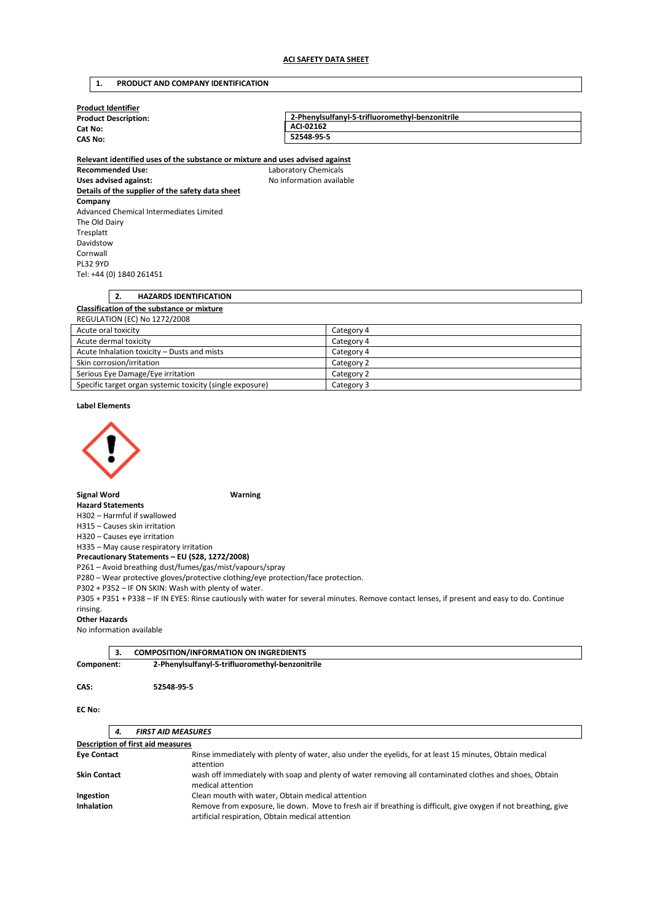# **1. PRODUCT AND COMPANY IDENTIFICATION**

| <b>Product Identifier</b>   |                                                 |
|-----------------------------|-------------------------------------------------|
| <b>Product Description:</b> | 2-Phenvisulfanyl-5-trifluoromethyl-benzonitrile |
| Cat No:                     | ACI-02162                                       |
| <b>CAS No:</b>              | 52548-95-5                                      |
|                             |                                                 |

**Relevant identified uses of the substance or mixture and uses advised against Recommended Use:** Laboratory Chemicals Uses advised against: Moleco and Moleco available **Details of the supplier of the safety data sheet Company**  Advanced Chemical Intermediates Limited The Old Dairy Tresplatt Davidstow Cornwall PL32 9YD Tel: +44 (0) 1840 261451

# **2. HAZARDS IDENTIFICATION Classification of the substance or mixture**  REGULATION (EC) No 1272/2008 Acute oral toxicity Category 4

| ACULC OF UP LOAIGHT                                       | $c^{\alpha}c^{\beta}c^{\beta}c^{\beta}$ |
|-----------------------------------------------------------|-----------------------------------------|
| Acute dermal toxicity                                     | Category 4                              |
| Acute Inhalation toxicity – Dusts and mists               | Category 4                              |
| Skin corrosion/irritation                                 | Category 2                              |
| Serious Eye Damage/Eye irritation                         | Category 2                              |
| Specific target organ systemic toxicity (single exposure) | Category 3                              |

**Label Elements** 



**Signal Word Warning** 

**Hazard Statements** 

H302 – Harmful if swallowed

H315 – Causes skin irritation

H320 – Causes eye irritation H335 – May cause respiratory irritation

**Precautionary Statements – EU (S28, 1272/2008)** 

P261 – Avoid breathing dust/fumes/gas/mist/vapours/spray

P280 – Wear protective gloves/protective clothing/eye protection/face protection.

P302 + P352 – IF ON SKIN: Wash with plenty of water.

P305 + P351 + P338 – IF IN EYES: Rinse cautiously with water for several minutes. Remove contact lenses, if present and easy to do. Continue rinsing.

#### **Other Hazards**

No information available

|            | <b>COMPOSITION/INFORMATION ON INGREDIENTS</b>   |
|------------|-------------------------------------------------|
| Component: | 2-Phenylsulfanyl-5-trifluoromethyl-benzonitrile |

**CAS: 52548-95-5** 

**EC No:** 

# *4. FIRST AID MEASURES*

| Description of first aid measures |                                                                                                                                                                     |
|-----------------------------------|---------------------------------------------------------------------------------------------------------------------------------------------------------------------|
| <b>Eye Contact</b>                | Rinse immediately with plenty of water, also under the eyelids, for at least 15 minutes, Obtain medical                                                             |
|                                   | attention                                                                                                                                                           |
| <b>Skin Contact</b>               | wash off immediately with soap and plenty of water removing all contaminated clothes and shoes, Obtain                                                              |
|                                   | medical attention                                                                                                                                                   |
| Ingestion                         | Clean mouth with water, Obtain medical attention                                                                                                                    |
| <b>Inhalation</b>                 | Remove from exposure, lie down. Move to fresh air if breathing is difficult, give oxygen if not breathing, give<br>artificial respiration, Obtain medical attention |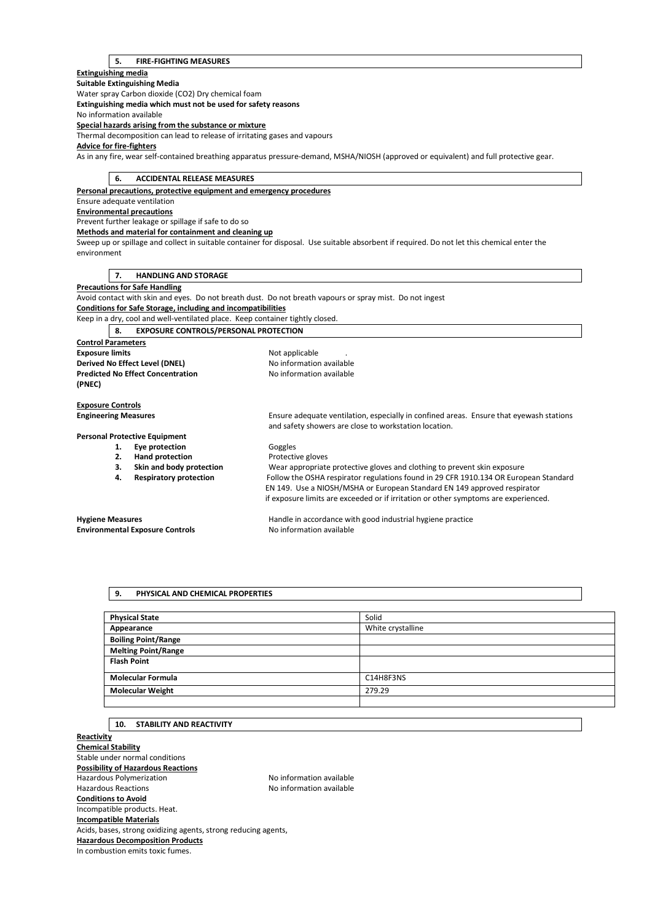#### **5. FIRE-FIGHTING MEASURES**

**Extinguishing media** 

**Suitable Extinguishing Media**  Water spray Carbon dioxide (CO2) Dry chemical foam **Extinguishing media which must not be used for safety reasons**  No information available **Special hazards arising from the substance or mixture**  Thermal decomposition can lead to release of irritating gases and vapours **Advice for fire-fighters**  As in any fire, wear self-contained breathing apparatus pressure-demand, MSHA/NIOSH (approved or equivalent) and full protective gear.

## **6. ACCIDENTAL RELEASE MEASURES**

**Personal precautions, protective equipment and emergency procedures** 

Ensure adequate ventilation **Environmental precautions** 

Prevent further leakage or spillage if safe to do so

**Methods and material for containment and cleaning up** 

Sweep up or spillage and collect in suitable container for disposal. Use suitable absorbent if required. Do not let this chemical enter the environment

## **7. HANDLING AND STORAGE**

**Precautions for Safe Handling** 

Avoid contact with skin and eyes. Do not breath dust. Do not breath vapours or spray mist. Do not ingest

**Conditions for Safe Storage, including and incompatibilities** 

Keep in a dry, cool and well-ventilated place. Keep container tightly closed.

**8. EXPOSURE CONTROLS/PERSONAL PROTECTION** 

**Control Parameters Exposure limits Exposure limits Not applicable Derived No Effect Level (DNEL)** No information available **Predicted No Effect Concentration** No information available **(PNEC)** 

**Exposure Controls** 

**Engineering Measures** Ensure adequate ventilation, especially in confined areas. Ensure that eyewash stations

**Personal Protective Equipment** 

- 1. **Eye protection Goggles**
- **2. Hand protection Protective gloves**
- 
- 
- **3. Skin and body protection** Wear appropriate protective gloves and clothing to prevent skin exposure **4. Respiratory protection** Follow the OSHA respirator regulations found in 29 CFR 1910.134 OR European Standard EN 149. Use a NIOSH/MSHA or European Standard EN 149 approved respirator

and safety showers are close to workstation location.

**Environmental Exposure Controls No information available** 

**Hygiene Measures** Handle in accordance with good industrial hygiene practice

if exposure limits are exceeded or if irritation or other symptoms are experienced.

#### **9. PHYSICAL AND CHEMICAL PROPERTIES**

| <b>Physical State</b>      | Solid             |
|----------------------------|-------------------|
| Appearance                 | White crystalline |
| <b>Boiling Point/Range</b> |                   |
| <b>Melting Point/Range</b> |                   |
| <b>Flash Point</b>         |                   |
| <b>Molecular Formula</b>   | C14H8F3NS         |
| <b>Molecular Weight</b>    | 279.29            |
|                            |                   |

## **10. STABILITY AND REACTIVITY**

**Reactivity Chemical Stability**  Stable under normal conditions **Possibility of Hazardous Reactions**  Hazardous Polymerization **No information available** Hazardous Reactions **No information available Conditions to Avoid**  Incompatible products. Heat. **Incompatible Materials**  Acids, bases, strong oxidizing agents, strong reducing agents, **Hazardous Decomposition Products**  In combustion emits toxic fumes.